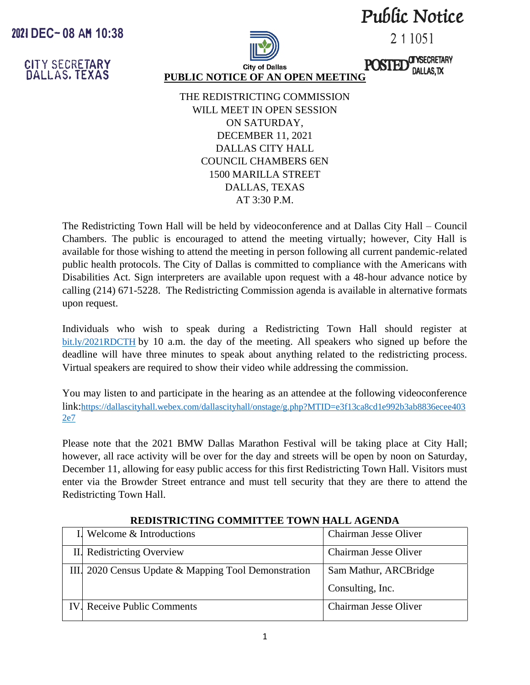**Pw[ic Notice** 

2 1 1051

**CITYSECRETARY** DALLAS, TX

**POSTED** 

**CITY SECRETARY DALLAS. TEXAS** 

**2021 DEC- 08 AH 10:38**



**PUBLIC NOTICE OF AN OPEN MEETING**

THE REDISTRICTING COMMISSION WILL MEET IN OPEN SESSION ON SATURDAY, DECEMBER 11, 2021 DALLAS CITY HALL COUNCIL CHAMBERS 6EN 1500 MARILLA STREET DALLAS, TEXAS AT 3:30 P.M.

The Redistricting Town Hall will be held by videoconference and at Dallas City Hall – Council Chambers. The public is encouraged to attend the meeting virtually; however, City Hall is available for those wishing to attend the meeting in person following all current pandemic-related public health protocols. The City of Dallas is committed to compliance with the Americans with Disabilities Act. Sign interpreters are available upon request with a 48-hour advance notice by calling (214) 671-5228. The Redistricting Commission agenda is available in alternative formats upon request.

Individuals who wish to speak during a Redistricting Town Hall should register at bit.ly/2021RDCTH by 10 a.m. the day of the meeting. All speakers who signed up before the deadline will have three minutes to speak about anything related to the redistricting process. Virtual speakers are required to show their video while addressing the commission.

You may listen to and participate in the hearing as an attendee at the following videoconference link:https://dallascityhall.webex.com/dallascityhall/onstage/g.php?MTID=e3f13ca8cd1e992b3ab8836ecee403 2e7

Please note that the 2021 BMW Dallas Marathon Festival will be taking place at City Hall; however, all race activity will be over for the day and streets will be open by noon on Saturday, December 11, allowing for easy public access for this first Redistricting Town Hall. Visitors must enter via the Browder Street entrance and must tell security that they are there to attend the Redistricting Town Hall.

| Welcome & Introductions                              | Chairman Jesse Oliver |
|------------------------------------------------------|-----------------------|
| II. Redistricting Overview                           | Chairman Jesse Oliver |
| III. 2020 Census Update & Mapping Tool Demonstration | Sam Mathur, ARCBridge |
|                                                      | Consulting, Inc.      |
| <b>IV.</b> Receive Public Comments                   | Chairman Jesse Oliver |

## **REDISTRICTING COMMITTEE TOWN HALL AGENDA**